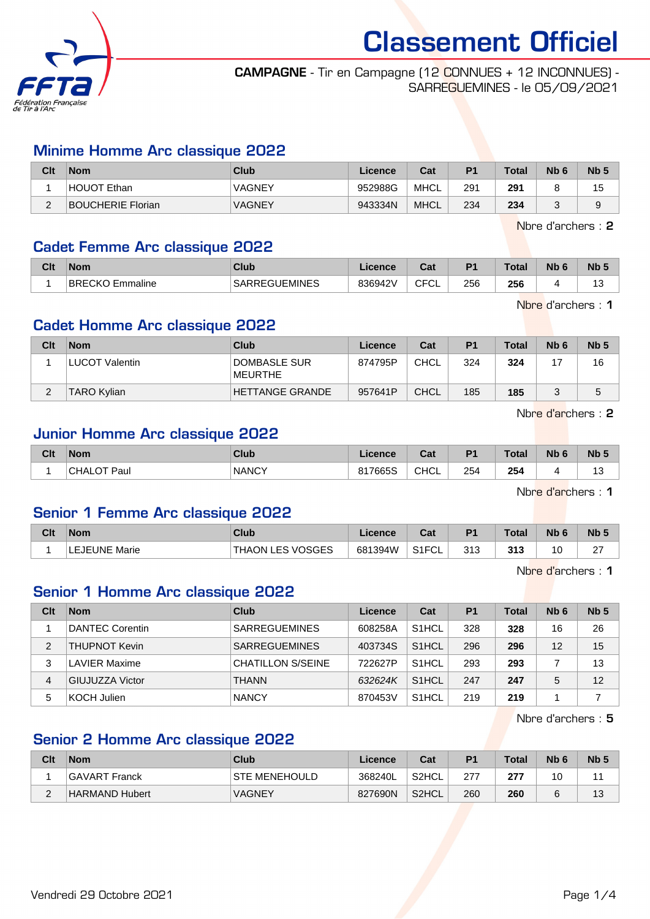

#### CAMPAGNE - Tir en Campagne (12 CONNUES + 12 INCONNUES) - SARREGUEMINES - le 05/09/2021

#### Minime Homme Arc classique 2022

| Clt      | <b>Nom</b>               | Club          | Licence | Cat         | P <sub>1</sub> | <b>Total</b> | Nb <sub>6</sub> | N <sub>b</sub> <sub>5</sub> |
|----------|--------------------------|---------------|---------|-------------|----------------|--------------|-----------------|-----------------------------|
|          | HOUOT Ethan              | <b>VAGNEY</b> | 952988G | MHCL        | 291            | 291          |                 | 15                          |
| <u>.</u> | <b>BOUCHERIE Florian</b> | <b>VAGNEY</b> | 943334N | <b>MHCL</b> | 234            | 234          |                 | ັ<br>ີ                      |

Nbre d'archers : 2

#### Cadet Femme Arc classique 2022

| Clt | <b>Nom</b>                      | Club                 | .icence | $R_{\rm{eff}}$<br>val | P <sub>1</sub> | Total | <b>Nb</b> | <b>N<sub>b</sub></b> |
|-----|---------------------------------|----------------------|---------|-----------------------|----------------|-------|-----------|----------------------|
|     | BRECKO<br><sup>≀</sup> Emmaline | <b>SARREGUEMINES</b> | 836942\ | <b>CFCL</b>           | 256            | 256   |           | ت                    |

Nbre d'archers : 1

#### Cadet Homme Arc classique 2022

| Clt | <b>Nom</b>         | Club                    | Licence | Cat  | P1  | <b>Total</b> | N <sub>b</sub> 6 | Nb <sub>5</sub> |
|-----|--------------------|-------------------------|---------|------|-----|--------------|------------------|-----------------|
|     | LUCOT Valentin     | DOMBASLE SUR<br>MEURTHE | 874795P | CHCL | 324 | 324          |                  | 16              |
|     | <b>TARO Kylian</b> | HETTANGE GRANDE         | 957641P | CHCL | 185 | 185          |                  | 5               |

Nbre d'archers : 2

# Junior Homme Arc classique 2022

| 254<br><b>NANCY</b><br><b>CHCL</b><br>254<br>817665S<br>$\cdot \cdot$ ר Paul<br>CHAL<br>$-$<br>$\sim$ | Clt | <b>Nom</b> | <b>Club</b> | Licence | Cat | D <sub>4</sub> | <b>Total</b> | <b>N<sub>b</sub></b> | N <sub>b</sub> 5 |
|-------------------------------------------------------------------------------------------------------|-----|------------|-------------|---------|-----|----------------|--------------|----------------------|------------------|
|                                                                                                       |     |            |             |         |     |                |              |                      | 4 ຕ<br>ں ا       |

Nbre d'archers : 1

#### Senior 1 Femme Arc classique 2022

| Clt | <b>Nom</b>    | <b>Club</b>                          | Licence | $-4$<br>ual | D <sub>1</sub> | <b>Total</b> | Nb <sub>6</sub> | N <sub>b</sub> <sub>5</sub> |
|-----|---------------|--------------------------------------|---------|-------------|----------------|--------------|-----------------|-----------------------------|
|     | LEJEUNE Marie | <b>LES VOSGES</b><br><b>THAON L.</b> | 681394W | S1FCL       | 212<br>ں ا ب   | 313          |                 | $\sim$<br>▵                 |

Nbre d'archers : 1

# Senior 1 Homme Arc classique 2022

| Clt | <b>Nom</b>             | Club                     | Licence | Cat                | P <sub>1</sub> | <b>Total</b> | Nb <sub>6</sub> | Nb <sub>5</sub> |
|-----|------------------------|--------------------------|---------|--------------------|----------------|--------------|-----------------|-----------------|
|     | <b>DANTEC Corentin</b> | <b>SARREGUEMINES</b>     | 608258A | S <sub>1</sub> HCL | 328            | 328          | 16              | 26              |
| 2   | <b>THUPNOT Kevin</b>   | <b>SARREGUEMINES</b>     | 403734S | S <sub>1</sub> HCL | 296            | 296          | 12              | 15              |
| 3   | <b>LAVIER Maxime</b>   | <b>CHATILLON S/SEINE</b> | 722627P | S <sub>1</sub> HCL | 293            | 293          |                 | 13              |
| 4   | <b>GIUJUZZA Victor</b> | <b>THANN</b>             | 632624K | S <sub>1</sub> HCL | 247            | 247          | 5               | 12              |
| 5   | KOCH Julien            | <b>NANCY</b>             | 870453V | S <sub>1</sub> HCL | 219            | 219          |                 |                 |

Nbre d'archers : 5

# Senior 2 Homme Arc classique 2022

| Clt         | <b>Nom</b>     | Club                 | Licence | Cat                | P <sub>1</sub> | <b>Total</b> | N <sub>b</sub> <sub>6</sub> | N <sub>b</sub> <sub>5</sub> |
|-------------|----------------|----------------------|---------|--------------------|----------------|--------------|-----------------------------|-----------------------------|
|             | GAVART Franck  | <b>STE MENEHOULD</b> | 368240L | S <sub>2</sub> HCL | 277            | 277          | 10                          |                             |
| $\sim$<br>_ | HARMAND Hubert | <b>VAGNEY</b>        | 827690N | S <sub>2</sub> HCL | 260            | 260          |                             |                             |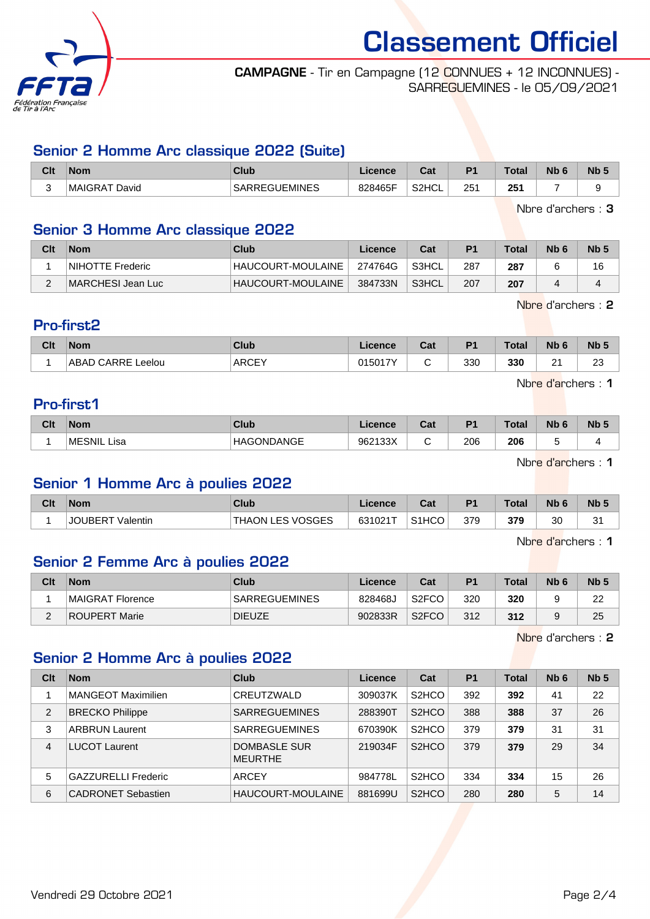

#### CAMPAGNE - Tir en Campagne (12 CONNUES + 12 INCONNUES) - SARREGUEMINES - le 05/09/2021

# Senior 2 Homme Arc classique 2022 (Suite)

| Clt | <b>Nom</b>      | <b>Club</b>               | Licence | <b>Dol</b><br>⊍a   | D <sub>1</sub> | Total | <b>Nb</b> | N <sub>b</sub> 5 |
|-----|-----------------|---------------------------|---------|--------------------|----------------|-------|-----------|------------------|
| ◡   | MAIGRA<br>David | JEMINES<br>SAR<br>, _ _ , | 828465F | S <sub>2</sub> HCL | $25^{\circ}$   | 251   |           |                  |

Nbre d'archers : 3

#### Senior 3 Homme Arc classique 2022

| Cli | <b>Nom</b>        | Club                     | Licence | Cat   | P <sub>1</sub> | <b>Total</b> | N <sub>b</sub> 6 | <b>Nb</b> |
|-----|-------------------|--------------------------|---------|-------|----------------|--------------|------------------|-----------|
|     | NIHOTTE Frederic  | HAUCOURT-MOULAINE        | 274764G | S3HCL | 287            | 287          |                  | 16        |
| ⌒   | MARCHESI Jean Luc | <b>HAUCOURT-MOULAINE</b> | 384733N | S3HCL | 207            | 207          |                  |           |

Nbre d'archers : 2

#### Pro-first2

| Clt | <b>Nom</b>           | Club         | Licence | r.,<br>ual | P <sub>1</sub> | <b>Total</b> | <b>Nb</b>      | N <sub>b</sub> 5 |
|-----|----------------------|--------------|---------|------------|----------------|--------------|----------------|------------------|
|     | ABAD CARRE<br>∟eelou | <b>ARCEY</b> | 015017Y | ∽<br>╰     | 330            | 330          | n,<br><u>.</u> | റാ<br>20         |

Nbre d'archers : 1

# Pro-first1

| Clt | <b>Nom</b>  | <b>Club</b>   | Licence | $R_{\rm{eff}}$<br>cal | D <sub>4</sub> | <b>Total</b> | <b>Nb</b> | N <sub>b</sub> 5 |
|-----|-------------|---------------|---------|-----------------------|----------------|--------------|-----------|------------------|
|     | MESNIL Lisa | ONDANGE<br>НA | 962133X | ╰                     | 206<br>- -     | 206<br>. .   |           |                  |

Nbre d'archers : 1

#### Senior 1 Homme Arc à poulies 2022

| Clt | <b>Nom</b>                      | Club                    | ∟icence | $R_{\rm eff}$<br>udl | D <sub>1</sub> | <b>Total</b> | N <sub>b</sub> 6 | Nb <sub>5</sub> |
|-----|---------------------------------|-------------------------|---------|----------------------|----------------|--------------|------------------|-----------------|
|     | JOUBER <sup>-</sup><br>Valentin | LES VOSGES<br>∵THAON ∟. | 631021T | S <sub>1</sub> HCO   | 379            | 379          | 30               | $\sim$<br>ا ب   |

Nbre d'archers : 1

# Senior 2 Femme Arc à poulies 2022

| Clt | <b>Nom</b>           | Club                 | Licence | Cat                | D <sub>1</sub> | <b>Total</b> | Nb <sub>6</sub> | Nb <sub>5</sub> |
|-----|----------------------|----------------------|---------|--------------------|----------------|--------------|-----------------|-----------------|
|     | MAIGRAT Florence     | <b>SARREGUEMINES</b> | 828468J | S <sub>2</sub> FCO | 320            | 320          |                 | 22              |
|     | <b>ROUPERT Marie</b> | <b>DIEUZE</b>        | 902833R | S <sub>2</sub> FCO | 312            | 312          |                 | 25              |

Nbre d'archers : 2

# Senior 2 Homme Arc à poulies 2022

| Clt            | <b>Nom</b>                 | Club                           | Licence | Cat                            | P <sub>1</sub> | <b>Total</b> | Nb <sub>6</sub> | Nb <sub>5</sub> |
|----------------|----------------------------|--------------------------------|---------|--------------------------------|----------------|--------------|-----------------|-----------------|
|                | <b>MANGEOT Maximilien</b>  | CREUTZWALD                     | 309037K | S <sub>2</sub> HCO             | 392            | 392          | 41              | 22              |
| 2              | <b>BRECKO Philippe</b>     | <b>SARREGUEMINES</b>           | 288390T | S <sub>2</sub> H <sub>CO</sub> | 388            | 388          | 37              | 26              |
| 3              | <b>ARBRUN Laurent</b>      | <b>SARREGUEMINES</b>           | 670390K | S <sub>2</sub> H <sub>CO</sub> | 379            | 379          | 31              | 31              |
| $\overline{4}$ | <b>LUCOT Laurent</b>       | DOMBASLE SUR<br><b>MEURTHE</b> | 219034F | S <sub>2</sub> H <sub>CO</sub> | 379            | 379          | 29              | 34              |
| 5              | <b>GAZZURELLI Frederic</b> | <b>ARCEY</b>                   | 984778L | S <sub>2</sub> H <sub>CO</sub> | 334            | 334          | 15              | 26              |
| 6              | <b>CADRONET Sebastien</b>  | HAUCOURT-MOULAINE              | 881699U | S <sub>2</sub> HCO             | 280            | 280          | 5               | 14              |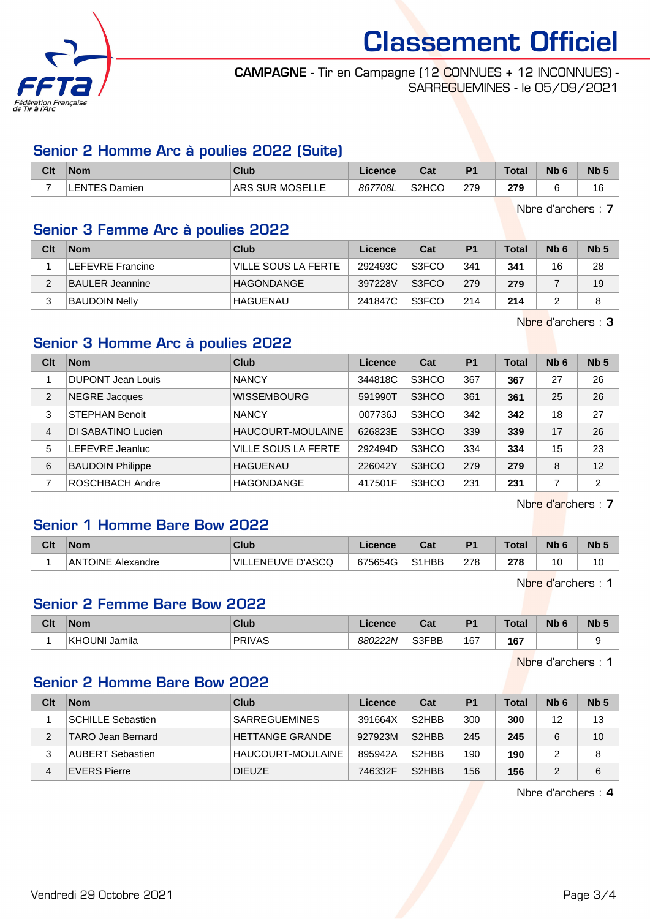

#### CAMPAGNE - Tir en Campagne (12 CONNUES + 12 INCONNUES) - SARREGUEMINES - le 05/09/2021

# Senior 2 Homme Arc à poulies 2022 (Suite)

| Clt                      | <b>Nom</b>                            | Club                   | Licence      | <b>Dol</b><br>ual  | D <sub>1</sub> | <b>Total</b> | <b>N<sub>b</sub></b> | Nb <sub>5</sub> |
|--------------------------|---------------------------------------|------------------------|--------------|--------------------|----------------|--------------|----------------------|-----------------|
| $\overline{\phantom{0}}$ | .∟ENTES <sup>г</sup><br><b>Damien</b> | <b>ARS SUR MOSELLE</b> | 7708L<br>867 | S <sub>2</sub> HCO | 270<br>21 J    | 279          |                      | 16              |

Nbre d'archers : 7

# Senior 3 Femme Arc à poulies 2022

| Clt | <b>Nom</b>           | Club                | Licence | Cat   | P <sub>1</sub> | <b>Total</b> | N <sub>b</sub> 6 | Nb <sub>5</sub> |
|-----|----------------------|---------------------|---------|-------|----------------|--------------|------------------|-----------------|
|     | LEFEVRE Francine     | VILLE SOUS LA FERTE | 292493C | S3FCO | 341            | 341          | 16               | 28              |
|     | BAULER Jeannine      | HAGONDANGE          | 397228V | S3FCO | 279            | 279          |                  | 19              |
|     | <b>BAUDOIN Nelly</b> | HAGUENAU            | 241847C | S3FCO | 214            | 214          |                  |                 |

Nbre d'archers : 3

# Senior 3 Homme Arc à poulies 2022

| Clt | <b>Nom</b>               | Club                       | Licence | Cat   | P <sub>1</sub> | <b>Total</b> | Nb <sub>6</sub> | Nb <sub>5</sub> |
|-----|--------------------------|----------------------------|---------|-------|----------------|--------------|-----------------|-----------------|
|     | <b>DUPONT Jean Louis</b> | <b>NANCY</b>               | 344818C | S3HCO | 367            | 367          | 27              | 26              |
| 2   | NEGRE Jacques            | <b>WISSEMBOURG</b>         | 591990T | S3HCO | 361            | 361          | 25              | 26              |
| 3   | <b>STEPHAN Benoit</b>    | <b>NANCY</b>               | 007736J | S3HCO | 342            | 342          | 18              | 27              |
| 4   | DI SABATINO Lucien       | HAUCOURT-MOULAINE          | 626823E | S3HCO | 339            | 339          | 17              | 26              |
| 5   | LEFEVRE Jeanluc          | <b>VILLE SOUS LA FERTE</b> | 292494D | S3HCO | 334            | 334          | 15              | 23              |
| 6   | <b>BAUDOIN Philippe</b>  | <b>HAGUENAU</b>            | 226042Y | S3HCO | 279            | 279          | 8               | 12              |
| 7   | ROSCHBACH Andre          | <b>HAGONDANGE</b>          | 417501F | S3HCO | 231            | 231          | ⇁               | 2               |

Nbre d'archers : 7

# Senior 1 Homme Bare Bow 2022

| Clt | <b>Nom</b>        | Club                    | Licence | ◠⌒ィ<br>val                      | D <sub>1</sub> | <b>Total</b>  | Nb | N <sub>b</sub> <sub>5</sub> |
|-----|-------------------|-------------------------|---------|---------------------------------|----------------|---------------|----|-----------------------------|
|     | ANTOINE Alexandre | LENEUVE D'ASCQ<br>`VIL. | 675654G | S <sub>1</sub> H <sub>B</sub> B | 278            | 278<br>$\sim$ |    | 10                          |

Nbre d'archers : 1

# Senior 2 Femme Bare Bow 2022

| Clt | <b>Nom</b>                 | <b>Club</b>   | icence  | ו ה<br>⊍d | D <sub>1</sub> | Total                | Nb | <b>Nb</b> |
|-----|----------------------------|---------------|---------|-----------|----------------|----------------------|----|-----------|
|     | <b>KHOUN</b><br><br>Jamila | <b>PRIVAS</b> | 880222N | S3FBB     | 167<br>$-$     | 167<br>$\sim$ $\sim$ |    |           |

Nbre d'archers : 1

# Senior 2 Homme Bare Bow 2022

| Clt | <b>Nom</b>               | Club                 | Licence | Cat                            | P <sub>1</sub> | Total | N <sub>b</sub> 6 | Nb <sub>5</sub> |
|-----|--------------------------|----------------------|---------|--------------------------------|----------------|-------|------------------|-----------------|
|     | <b>SCHILLE Sebastien</b> | <b>SARREGUEMINES</b> | 391664X | S <sub>2</sub> HBB             | 300            | 300   | 12               | 13              |
|     | TARO Jean Bernard        | HETTANGE GRANDE      | 927923M | S <sub>2</sub> H <sub>BB</sub> | 245            | 245   |                  | 10              |
|     | <b>AUBERT Sebastien</b>  | HAUCOURT-MOULAINE    | 895942A | S <sub>2</sub> HBB             | 190            | 190   |                  | 8               |
| 4   | <b>EVERS Pierre</b>      | <b>DIEUZE</b>        | 746332F | S <sub>2</sub> H <sub>BB</sub> | 156            | 156   |                  | 6               |

Nbre d'archers : 4